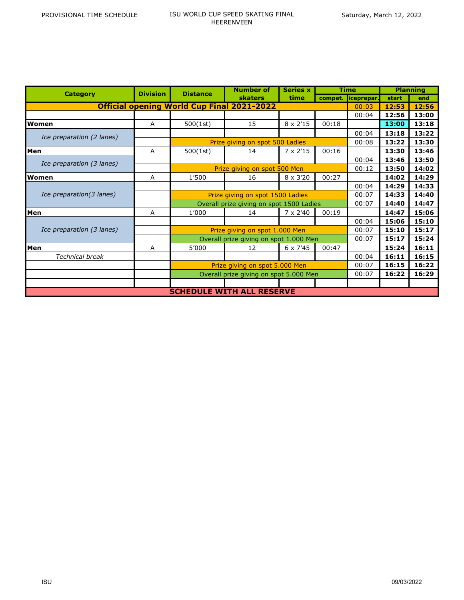| <b>Category</b>                                   | <b>Division</b> | <b>Distance</b>                          | <b>Number of</b> | <b>Series x</b>  | <b>Time</b> |            | <b>Planning</b> |       |  |  |
|---------------------------------------------------|-----------------|------------------------------------------|------------------|------------------|-------------|------------|-----------------|-------|--|--|
|                                                   |                 |                                          | <b>skaters</b>   | time             | compet.     | iceprepar. | start           | end   |  |  |
| <b>Official opening World Cup Final 2021-2022</b> | 00:03           | 12:53                                    | 12:56            |                  |             |            |                 |       |  |  |
|                                                   |                 |                                          |                  |                  |             | 00:04      | 12:56           | 13:00 |  |  |
| Women                                             | A               | 500(1st)                                 | 15               | $8 \times 2'15$  | 00:18       |            | 13:00           | 13:18 |  |  |
| Ice preparation (2 lanes)                         |                 |                                          |                  |                  |             | 00:04      | 13:18           | 13:22 |  |  |
|                                                   |                 | Prize giving on spot 500 Ladies          |                  |                  |             |            | 13:22           | 13:30 |  |  |
| Men                                               | A               | 500(1st)                                 | 14               | $7 \times 2'15$  | 00:16       |            | 13:30           | 13:46 |  |  |
| Ice preparation (3 lanes)                         |                 |                                          |                  |                  |             | 00:04      | 13:46           | 13:50 |  |  |
|                                                   |                 | Prize giving on spot 500 Men             | 00:12            | 13:50            | 14:02       |            |                 |       |  |  |
| Women                                             | Α               | 1'500                                    | 16               | $8 \times 3'20$  | 00:27       |            | 14:02           | 14:29 |  |  |
| Ice preparation(3 lanes)                          |                 |                                          |                  |                  |             | 00:04      | 14:29           | 14:33 |  |  |
|                                                   |                 | Prize giving on spot 1500 Ladies         | 00:07            | 14:33            | 14:40       |            |                 |       |  |  |
|                                                   |                 | Overall prize giving on spot 1500 Ladies |                  |                  |             | 00:07      | 14:40           | 14:47 |  |  |
| Men                                               | A               | 1'000                                    | 14               | $7 \times 2'$ 40 | 00:19       |            | 14:47           | 15:06 |  |  |
| Ice preparation (3 lanes)                         |                 |                                          |                  |                  |             | 00:04      | 15:06           | 15:10 |  |  |
|                                                   |                 | Prize giving on spot 1.000 Men           | 00:07            | 15:10            | 15:17       |            |                 |       |  |  |
|                                                   |                 | Overall prize giving on spot 1.000 Men   |                  |                  |             | 00:07      | 15:17           | 15:24 |  |  |
| Men                                               | A               | 5'000                                    | 12               | $6 \times 7'45$  | 00:47       |            | 15:24           | 16:11 |  |  |
| <b>Technical break</b>                            |                 |                                          |                  |                  |             | 00:04      | 16:11           | 16:15 |  |  |
|                                                   |                 | Prize giving on spot 5.000 Men           |                  |                  |             | 00:07      | 16:15           | 16:22 |  |  |
|                                                   |                 | Overall prize giving on spot 5.000 Men   |                  |                  |             | 00:07      | 16:22           | 16:29 |  |  |
|                                                   |                 |                                          |                  |                  |             |            |                 |       |  |  |
| <b>SCHEDULE WITH ALL RESERVE</b>                  |                 |                                          |                  |                  |             |            |                 |       |  |  |